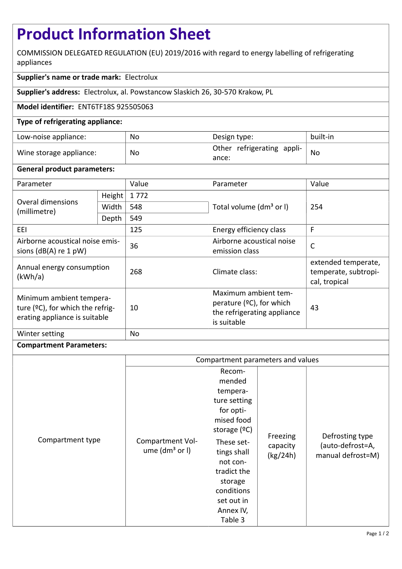# **Product Information Sheet**

COMMISSION DELEGATED REGULATION (EU) 2019/2016 with regard to energy labelling of refrigerating appliances

## **Supplier's name or trade mark:** Electrolux

**Supplier's address:** Electrolux, al. Powstancow Slaskich 26, 30-570 Krakow, PL

## **Model identifier:** ENT6TF18S 925505063

## **Type of refrigerating appliance:**

| Low-noise appliance:    | No        | Design type:                        | built-in |
|-------------------------|-----------|-------------------------------------|----------|
| Wine storage appliance: | <b>No</b> | Other refrigerating appli-<br>ance: | No       |

#### **General product parameters:**

| Parameter                                                                                        |        | Value | Parameter                                                                                         | Value                                                        |
|--------------------------------------------------------------------------------------------------|--------|-------|---------------------------------------------------------------------------------------------------|--------------------------------------------------------------|
| Overal dimensions<br>(millimetre)                                                                | Height | 1772  |                                                                                                   | 254                                                          |
|                                                                                                  | Width  | 548   | Total volume (dm <sup>3</sup> or I)                                                               |                                                              |
|                                                                                                  | Depth  | 549   |                                                                                                   |                                                              |
| EEI                                                                                              |        | 125   | Energy efficiency class                                                                           | F                                                            |
| Airborne acoustical noise emis-<br>sions $(dB(A)$ re 1 pW)                                       |        | 36    | Airborne acoustical noise<br>$\mathsf{C}$<br>emission class                                       |                                                              |
| Annual energy consumption<br>(kWh/a)                                                             |        | 268   | Climate class:                                                                                    | extended temperate,<br>temperate, subtropi-<br>cal, tropical |
| Minimum ambient tempera-<br>ture $(2C)$ , for which the refrig-<br>erating appliance is suitable |        | 10    | Maximum ambient tem-<br>perature $(°C)$ , for which<br>the refrigerating appliance<br>is suitable | 43                                                           |
| Winter setting                                                                                   |        | No    |                                                                                                   |                                                              |

#### **Compartment Parameters:**

|                  | Compartment parameters and values      |                                                                                                                                                                                                                  |                                  |                                                          |
|------------------|----------------------------------------|------------------------------------------------------------------------------------------------------------------------------------------------------------------------------------------------------------------|----------------------------------|----------------------------------------------------------|
| Compartment type | Compartment Vol-<br>ume $(dm3$ or $I)$ | Recom-<br>mended<br>tempera-<br>ture setting<br>for opti-<br>mised food<br>storage $(°C)$<br>These set-<br>tings shall<br>not con-<br>tradict the<br>storage<br>conditions<br>set out in<br>Annex IV,<br>Table 3 | Freezing<br>capacity<br>(kg/24h) | Defrosting type<br>(auto-defrost=A,<br>manual defrost=M) |